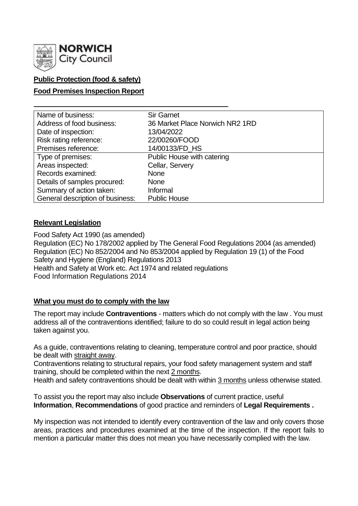

# **Public Protection (food & safety)**

## **Food Premises Inspection Report**

| Name of business:                | <b>Sir Garnet</b>               |
|----------------------------------|---------------------------------|
| Address of food business:        | 36 Market Place Norwich NR2 1RD |
| Date of inspection:              | 13/04/2022                      |
| Risk rating reference:           | 22/00260/FOOD                   |
| Premises reference:              | 14/00133/FD_HS                  |
| Type of premises:                | Public House with catering      |
| Areas inspected:                 | Cellar, Servery                 |
| Records examined:                | <b>None</b>                     |
| Details of samples procured:     | <b>None</b>                     |
| Summary of action taken:         | Informal                        |
| General description of business: | <b>Public House</b>             |

## **Relevant Legislation**

Food Safety Act 1990 (as amended) Regulation (EC) No 178/2002 applied by The General Food Regulations 2004 (as amended) Regulation (EC) No 852/2004 and No 853/2004 applied by Regulation 19 (1) of the Food Safety and Hygiene (England) Regulations 2013 Health and Safety at Work etc. Act 1974 and related regulations Food Information Regulations 2014

## **What you must do to comply with the law**

The report may include **Contraventions** - matters which do not comply with the law . You must address all of the contraventions identified; failure to do so could result in legal action being taken against you.

As a guide, contraventions relating to cleaning, temperature control and poor practice, should be dealt with straight away.

Contraventions relating to structural repairs, your food safety management system and staff training, should be completed within the next 2 months.

Health and safety contraventions should be dealt with within 3 months unless otherwise stated.

To assist you the report may also include **Observations** of current practice, useful **Information**, **Recommendations** of good practice and reminders of **Legal Requirements .**

My inspection was not intended to identify every contravention of the law and only covers those areas, practices and procedures examined at the time of the inspection. If the report fails to mention a particular matter this does not mean you have necessarily complied with the law.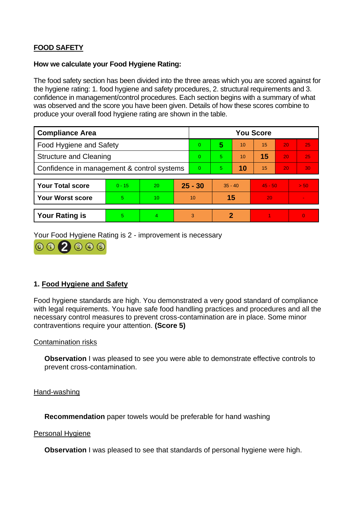# **FOOD SAFETY**

#### **How we calculate your Food Hygiene Rating:**

The food safety section has been divided into the three areas which you are scored against for the hygiene rating: 1. food hygiene and safety procedures, 2. structural requirements and 3. confidence in management/control procedures. Each section begins with a summary of what was observed and the score you have been given. Details of how these scores combine to produce your overall food hygiene rating are shown in the table.

| <b>Compliance Area</b>                     |          |    | <b>You Score</b> |    |           |    |           |    |                |  |
|--------------------------------------------|----------|----|------------------|----|-----------|----|-----------|----|----------------|--|
| Food Hygiene and Safety                    |          |    |                  | 0  | 5         | 10 | 15        | 20 | 25             |  |
| <b>Structure and Cleaning</b>              |          |    | $\Omega$         | 5. | 10        | 15 | 20        | 25 |                |  |
| Confidence in management & control systems |          |    | $\Omega$         | 5. | 10        | 15 | 20        | 30 |                |  |
|                                            |          |    |                  |    |           |    |           |    |                |  |
| <b>Your Total score</b>                    | $0 - 15$ | 20 | $25 - 30$        |    | $35 - 40$ |    | $45 - 50$ |    | > 50           |  |
| <b>Your Worst score</b>                    | 5        | 10 | 10               |    | 15        |    | 20        |    | $\blacksquare$ |  |
|                                            |          |    |                  |    |           |    |           |    |                |  |
| <b>Your Rating is</b>                      | 5        | 4  |                  | 3  | 2         |    |           |    | $\Omega$       |  |

Your Food Hygiene Rating is 2 - improvement is necessary



# **1. Food Hygiene and Safety**

Food hygiene standards are high. You demonstrated a very good standard of compliance with legal requirements. You have safe food handling practices and procedures and all the necessary control measures to prevent cross-contamination are in place. Some minor contraventions require your attention. **(Score 5)**

## Contamination risks

**Observation** I was pleased to see you were able to demonstrate effective controls to prevent cross-contamination.

Hand-washing

**Recommendation** paper towels would be preferable for hand washing

#### Personal Hygiene

**Observation** I was pleased to see that standards of personal hygiene were high.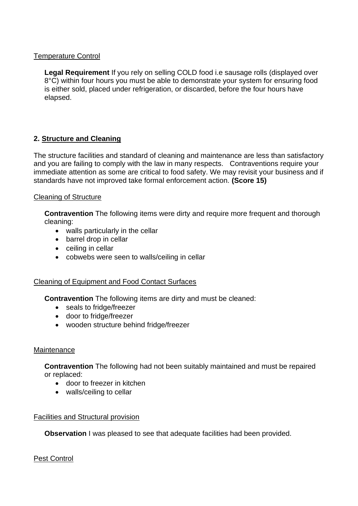## Temperature Control

**Legal Requirement** If you rely on selling COLD food i.e sausage rolls (displayed over 8°C) within four hours you must be able to demonstrate your system for ensuring food is either sold, placed under refrigeration, or discarded, before the four hours have elapsed.

# **2. Structure and Cleaning**

The structure facilities and standard of cleaning and maintenance are less than satisfactory and you are failing to comply with the law in many respects. Contraventions require your immediate attention as some are critical to food safety. We may revisit your business and if standards have not improved take formal enforcement action. **(Score 15)**

## Cleaning of Structure

**Contravention** The following items were dirty and require more frequent and thorough cleaning:

- walls particularly in the cellar
- barrel drop in cellar
- ceiling in cellar
- cobwebs were seen to walls/ceiling in cellar

# Cleaning of Equipment and Food Contact Surfaces

**Contravention** The following items are dirty and must be cleaned:

- seals to fridge/freezer
- door to fridge/freezer
- wooden structure behind fridge/freezer

# **Maintenance**

**Contravention** The following had not been suitably maintained and must be repaired or replaced:

- door to freezer in kitchen
- walls/ceiling to cellar

# Facilities and Structural provision

**Observation** I was pleased to see that adequate facilities had been provided.

# Pest Control